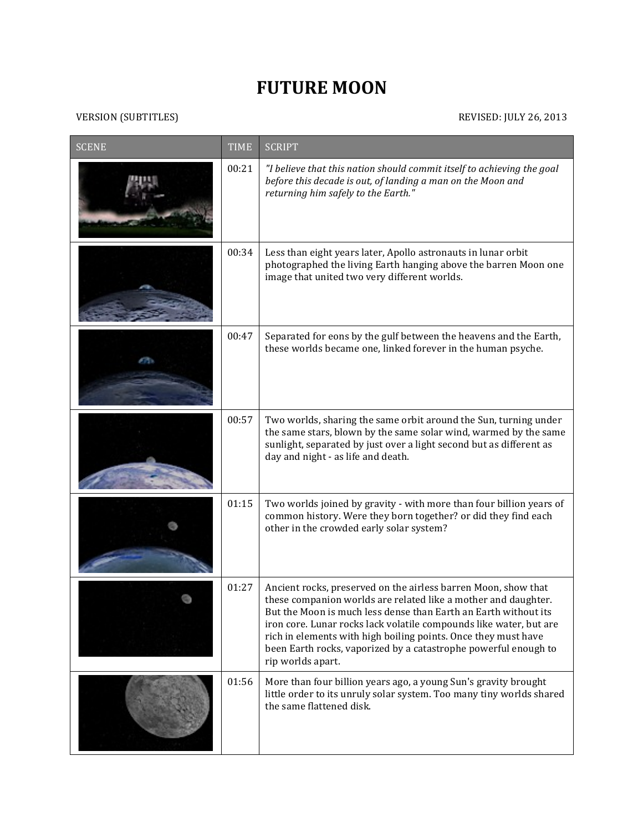## **FUTURE MOON**

## VERSION (SUBTITLES) REVISED: JULY 26, 2013

| <b>SCENE</b> | <b>TIME</b> | <b>SCRIPT</b>                                                                                                                                                                                                                                                                                                                                                                                                                       |
|--------------|-------------|-------------------------------------------------------------------------------------------------------------------------------------------------------------------------------------------------------------------------------------------------------------------------------------------------------------------------------------------------------------------------------------------------------------------------------------|
|              | 00:21       | "I believe that this nation should commit itself to achieving the goal<br>before this decade is out, of landing a man on the Moon and<br>returning him safely to the Earth."                                                                                                                                                                                                                                                        |
|              | 00:34       | Less than eight years later, Apollo astronauts in lunar orbit<br>photographed the living Earth hanging above the barren Moon one<br>image that united two very different worlds.                                                                                                                                                                                                                                                    |
|              | 00:47       | Separated for eons by the gulf between the heavens and the Earth,<br>these worlds became one, linked forever in the human psyche.                                                                                                                                                                                                                                                                                                   |
|              | 00:57       | Two worlds, sharing the same orbit around the Sun, turning under<br>the same stars, blown by the same solar wind, warmed by the same<br>sunlight, separated by just over a light second but as different as<br>day and night - as life and death.                                                                                                                                                                                   |
|              | 01:15       | Two worlds joined by gravity - with more than four billion years of<br>common history. Were they born together? or did they find each<br>other in the crowded early solar system?                                                                                                                                                                                                                                                   |
|              | 01:27       | Ancient rocks, preserved on the airless barren Moon, show that<br>these companion worlds are related like a mother and daughter.<br>But the Moon is much less dense than Earth an Earth without its<br>iron core. Lunar rocks lack volatile compounds like water, but are<br>rich in elements with high boiling points. Once they must have<br>been Earth rocks, vaporized by a catastrophe powerful enough to<br>rip worlds apart. |
|              | 01:56       | More than four billion years ago, a young Sun's gravity brought<br>little order to its unruly solar system. Too many tiny worlds shared<br>the same flattened disk.                                                                                                                                                                                                                                                                 |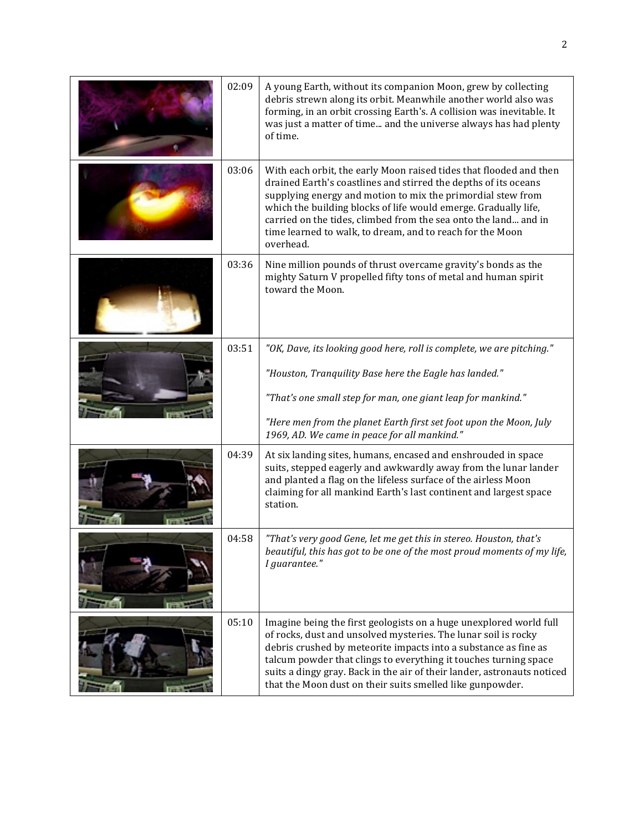| 02:09 | A young Earth, without its companion Moon, grew by collecting<br>debris strewn along its orbit. Meanwhile another world also was<br>forming, in an orbit crossing Earth's. A collision was inevitable. It<br>was just a matter of time and the universe always has had plenty<br>of time.                                                                                                                            |
|-------|----------------------------------------------------------------------------------------------------------------------------------------------------------------------------------------------------------------------------------------------------------------------------------------------------------------------------------------------------------------------------------------------------------------------|
| 03:06 | With each orbit, the early Moon raised tides that flooded and then<br>drained Earth's coastlines and stirred the depths of its oceans<br>supplying energy and motion to mix the primordial stew from<br>which the building blocks of life would emerge. Gradually life,<br>carried on the tides, climbed from the sea onto the land and in<br>time learned to walk, to dream, and to reach for the Moon<br>overhead. |
| 03:36 | Nine million pounds of thrust overcame gravity's bonds as the<br>mighty Saturn V propelled fifty tons of metal and human spirit<br>toward the Moon.                                                                                                                                                                                                                                                                  |
| 03:51 | "OK, Dave, its looking good here, roll is complete, we are pitching."<br>"Houston, Tranquility Base here the Eagle has landed."<br>"That's one small step for man, one giant leap for mankind."<br>"Here men from the planet Earth first set foot upon the Moon, July<br>1969, AD. We came in peace for all mankind."                                                                                                |
| 04:39 | At six landing sites, humans, encased and enshrouded in space<br>suits, stepped eagerly and awkwardly away from the lunar lander<br>and planted a flag on the lifeless surface of the airless Moon<br>claiming for all mankind Earth's last continent and largest space<br>station.                                                                                                                                  |
| 04:58 | "That's very good Gene, let me get this in stereo. Houston, that's<br>beautiful, this has got to be one of the most proud moments of my life,<br>I guarantee."                                                                                                                                                                                                                                                       |
| 05:10 | Imagine being the first geologists on a huge unexplored world full<br>of rocks, dust and unsolved mysteries. The lunar soil is rocky<br>debris crushed by meteorite impacts into a substance as fine as<br>talcum powder that clings to everything it touches turning space<br>suits a dingy gray. Back in the air of their lander, astronauts noticed<br>that the Moon dust on their suits smelled like gunpowder.  |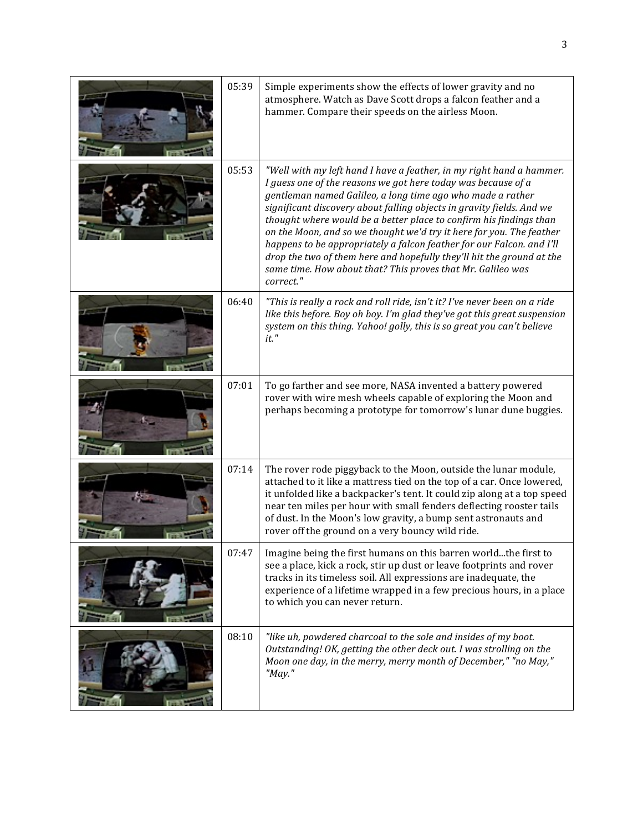| 05:39 | Simple experiments show the effects of lower gravity and no<br>atmosphere. Watch as Dave Scott drops a falcon feather and a<br>hammer. Compare their speeds on the airless Moon.                                                                                                                                                                                                                                                                                                                                                                                                                                                                         |
|-------|----------------------------------------------------------------------------------------------------------------------------------------------------------------------------------------------------------------------------------------------------------------------------------------------------------------------------------------------------------------------------------------------------------------------------------------------------------------------------------------------------------------------------------------------------------------------------------------------------------------------------------------------------------|
| 05:53 | "Well with my left hand I have a feather, in my right hand a hammer.<br>I guess one of the reasons we got here today was because of a<br>gentleman named Galileo, a long time ago who made a rather<br>significant discovery about falling objects in gravity fields. And we<br>thought where would be a better place to confirm his findings than<br>on the Moon, and so we thought we'd try it here for you. The feather<br>happens to be appropriately a falcon feather for our Falcon. and I'll<br>drop the two of them here and hopefully they'll hit the ground at the<br>same time. How about that? This proves that Mr. Galileo was<br>correct." |
| 06:40 | "This is really a rock and roll ride, isn't it? I've never been on a ride<br>like this before. Boy oh boy. I'm glad they've got this great suspension<br>system on this thing. Yahoo! golly, this is so great you can't believe<br>$it.$ "                                                                                                                                                                                                                                                                                                                                                                                                               |
| 07:01 | To go farther and see more, NASA invented a battery powered<br>rover with wire mesh wheels capable of exploring the Moon and<br>perhaps becoming a prototype for tomorrow's lunar dune buggies.                                                                                                                                                                                                                                                                                                                                                                                                                                                          |
| 07:14 | The rover rode piggyback to the Moon, outside the lunar module,<br>attached to it like a mattress tied on the top of a car. Once lowered,<br>it unfolded like a backpacker's tent. It could zip along at a top speed<br>near ten miles per hour with small fenders deflecting rooster tails<br>of dust. In the Moon's low gravity, a bump sent astronauts and<br>rover off the ground on a very bouncy wild ride.                                                                                                                                                                                                                                        |
| 07:47 | Imagine being the first humans on this barren worldthe first to<br>see a place, kick a rock, stir up dust or leave footprints and rover<br>tracks in its timeless soil. All expressions are inadequate, the<br>experience of a lifetime wrapped in a few precious hours, in a place<br>to which you can never return.                                                                                                                                                                                                                                                                                                                                    |
| 08:10 | "like uh, powdered charcoal to the sole and insides of my boot.<br>Outstanding! OK, getting the other deck out. I was strolling on the<br>Moon one day, in the merry, merry month of December," "no May,"<br>" $May."$                                                                                                                                                                                                                                                                                                                                                                                                                                   |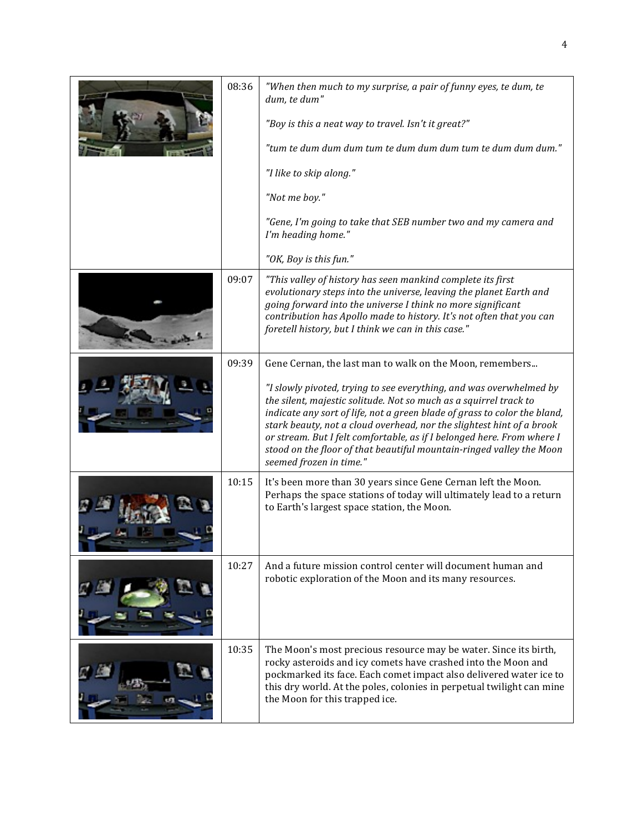| 08:36 | "When then much to my surprise, a pair of funny eyes, te dum, te<br>dum, te dum"<br>"Boy is this a neat way to travel. Isn't it great?"<br>"tum te dum dum dum tum te dum dum dum tum te dum dum dum."<br>"I like to skip along."<br>"Not me boy."<br>"Gene, I'm going to take that SEB number two and my camera and<br>I'm heading home."<br>"OK, Boy is this fun."                                                                                                                                                                    |
|-------|-----------------------------------------------------------------------------------------------------------------------------------------------------------------------------------------------------------------------------------------------------------------------------------------------------------------------------------------------------------------------------------------------------------------------------------------------------------------------------------------------------------------------------------------|
| 09:07 | "This valley of history has seen mankind complete its first<br>evolutionary steps into the universe, leaving the planet Earth and<br>going forward into the universe I think no more significant<br>contribution has Apollo made to history. It's not often that you can<br>foretell history, but I think we can in this case."                                                                                                                                                                                                         |
| 09:39 | Gene Cernan, the last man to walk on the Moon, remembers<br>"I slowly pivoted, trying to see everything, and was overwhelmed by<br>the silent, majestic solitude. Not so much as a squirrel track to<br>indicate any sort of life, not a green blade of grass to color the bland,<br>stark beauty, not a cloud overhead, nor the slightest hint of a brook<br>or stream. But I felt comfortable, as if I belonged here. From where I<br>stood on the floor of that beautiful mountain-ringed valley the Moon<br>seemed frozen in time." |
| 10:15 | It's been more than 30 years since Gene Cernan left the Moon.<br>Perhaps the space stations of today will ultimately lead to a return<br>to Earth's largest space station, the Moon.                                                                                                                                                                                                                                                                                                                                                    |
| 10:27 | And a future mission control center will document human and<br>robotic exploration of the Moon and its many resources.                                                                                                                                                                                                                                                                                                                                                                                                                  |
| 10:35 | The Moon's most precious resource may be water. Since its birth,<br>rocky asteroids and icy comets have crashed into the Moon and<br>pockmarked its face. Each comet impact also delivered water ice to<br>this dry world. At the poles, colonies in perpetual twilight can mine<br>the Moon for this trapped ice.                                                                                                                                                                                                                      |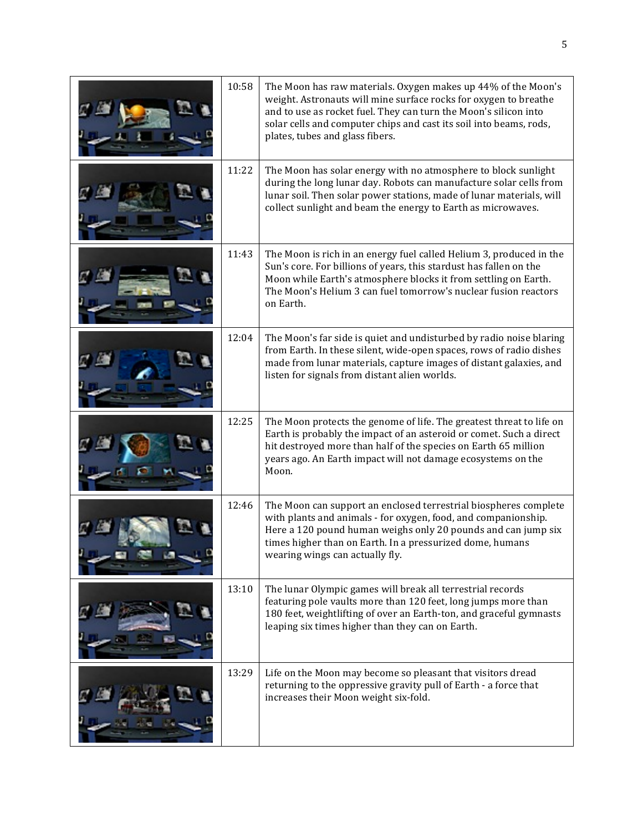| 10:58 | The Moon has raw materials. Oxygen makes up 44% of the Moon's<br>weight. Astronauts will mine surface rocks for oxygen to breathe<br>and to use as rocket fuel. They can turn the Moon's silicon into<br>solar cells and computer chips and cast its soil into beams, rods,<br>plates, tubes and glass fibers. |
|-------|----------------------------------------------------------------------------------------------------------------------------------------------------------------------------------------------------------------------------------------------------------------------------------------------------------------|
| 11:22 | The Moon has solar energy with no atmosphere to block sunlight<br>during the long lunar day. Robots can manufacture solar cells from<br>lunar soil. Then solar power stations, made of lunar materials, will<br>collect sunlight and beam the energy to Earth as microwaves.                                   |
| 11:43 | The Moon is rich in an energy fuel called Helium 3, produced in the<br>Sun's core. For billions of years, this stardust has fallen on the<br>Moon while Earth's atmosphere blocks it from settling on Earth.<br>The Moon's Helium 3 can fuel tomorrow's nuclear fusion reactors<br>on Earth.                   |
| 12:04 | The Moon's far side is quiet and undisturbed by radio noise blaring<br>from Earth. In these silent, wide-open spaces, rows of radio dishes<br>made from lunar materials, capture images of distant galaxies, and<br>listen for signals from distant alien worlds.                                              |
| 12:25 | The Moon protects the genome of life. The greatest threat to life on<br>Earth is probably the impact of an asteroid or comet. Such a direct<br>hit destroyed more than half of the species on Earth 65 million<br>years ago. An Earth impact will not damage ecosystems on the<br>Moon.                        |
| 12:46 | The Moon can support an enclosed terrestrial biospheres complete<br>with plants and animals - for oxygen, food, and companionship.<br>Here a 120 pound human weighs only 20 pounds and can jump six<br>times higher than on Earth. In a pressurized dome, humans<br>wearing wings can actually fly.            |
| 13:10 | The lunar Olympic games will break all terrestrial records<br>featuring pole vaults more than 120 feet, long jumps more than<br>180 feet, weightlifting of over an Earth-ton, and graceful gymnasts<br>leaping six times higher than they can on Earth.                                                        |
| 13:29 | Life on the Moon may become so pleasant that visitors dread<br>returning to the oppressive gravity pull of Earth - a force that<br>increases their Moon weight six-fold.                                                                                                                                       |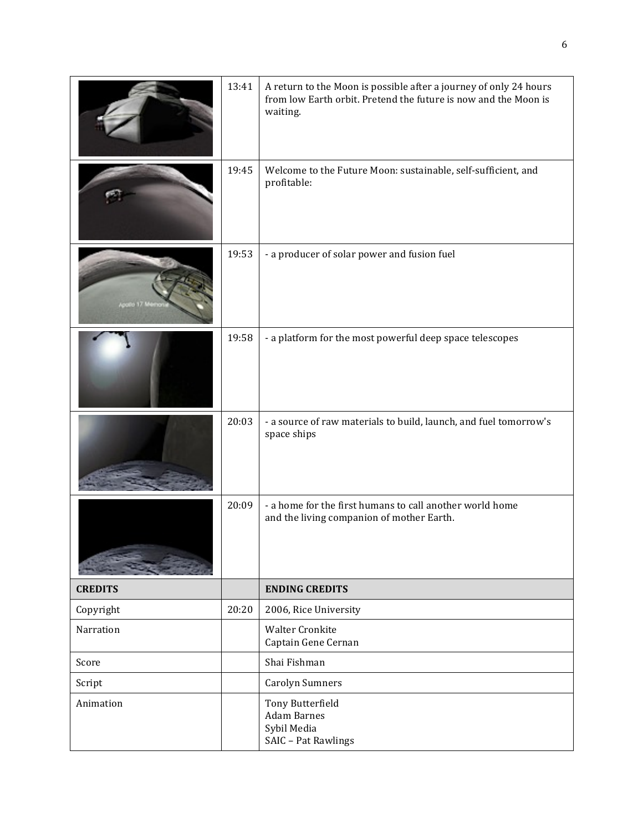|                | 13:41 | A return to the Moon is possible after a journey of only 24 hours<br>from low Earth orbit. Pretend the future is now and the Moon is<br>waiting. |
|----------------|-------|--------------------------------------------------------------------------------------------------------------------------------------------------|
|                | 19:45 | Welcome to the Future Moon: sustainable, self-sufficient, and<br>profitable:                                                                     |
| Apollo 17 M    | 19:53 | - a producer of solar power and fusion fuel                                                                                                      |
|                | 19:58 | - a platform for the most powerful deep space telescopes                                                                                         |
|                | 20:03 | - a source of raw materials to build, launch, and fuel tomorrow's<br>space ships                                                                 |
|                | 20:09 | - a home for the first humans to call another world home<br>and the living companion of mother Earth.                                            |
| <b>CREDITS</b> |       | <b>ENDING CREDITS</b>                                                                                                                            |
| Copyright      | 20:20 | 2006, Rice University                                                                                                                            |
| Narration      |       | <b>Walter Cronkite</b><br>Captain Gene Cernan                                                                                                    |
| Score          |       | Shai Fishman                                                                                                                                     |
| Script         |       | <b>Carolyn Sumners</b>                                                                                                                           |
| Animation      |       | Tony Butterfield<br><b>Adam Barnes</b><br>Sybil Media<br>SAIC - Pat Rawlings                                                                     |